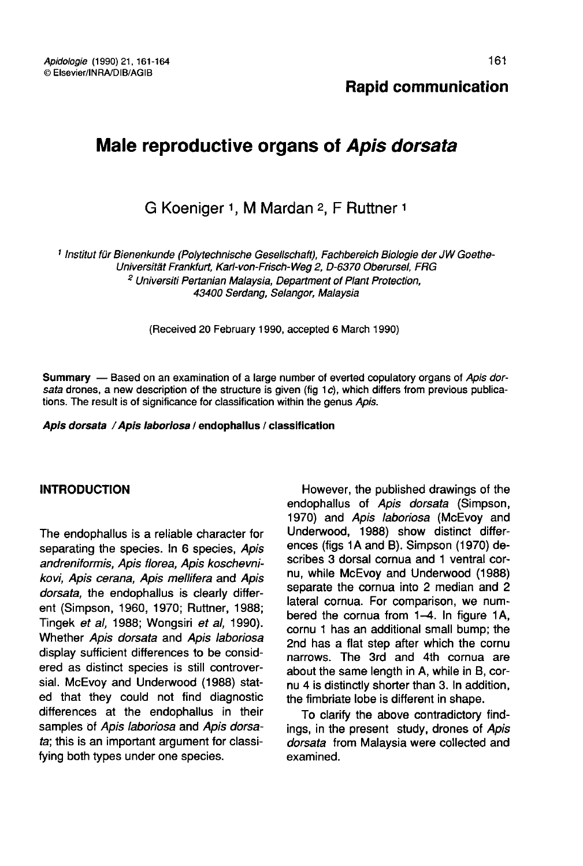# Male reproductive organs of Apis dorsata

G Koeniger 1, M Mardan 2, F Ruttner 1

<sup>1</sup> Institut für Bienenkunde (Polytechnische Gesellschaft), Fachbereich Biologie der JW Goethe-Universität Frankfurt, Karl-von-Frisch-Weg 2, D-6370 Oberursel, FRG <sup>2</sup> Universiti Pertanian Malaysia, Department of Plant Protection, 43400 Serdang, Selangor, Malaysia

(Received 20 February 1990, accepted 6 March 1990)

Summary — Based on an examination of a large number of everted copulatory organs of Apis dorsata drones, a new description of the structure is given (fig 1c), which differs from previous publications. The result is of significance for classification within the genus Apis.

#### Apis dorsata / Apis laboriosa / endophallus / classification

### INTRODUCTION

The endophallus is a reliable character for separating the species. In 6 species, Apis andreniformis, Apis florea, Apis koschevnikovi, Apis cerana, Apis mellifera and Apis dorsata, the endophallus is clearly different (Simpson, 1960, 1970; Ruttner, 1988; Tingek et al, 1988; Wongsiri et al, 1990). Whether Apis dorsata and Apis laboriosa display sufficient differences to be considered as distinct species is still controversial. McEvoy and Underwood (1988) stated that they could not find diagnostic differences at the endophallus in their samples of Apis laboriosa and Apis dorsata; this is an important argument for classifying both types under one species.

However, the published drawings of the endophallus of Apis dorsata (Simpson, 1970) and Apis laboriosa (McEvoy and Underwood, 1988) show distinct differences (figs 1A and B). Simpson (1970) describes 3 dorsal cornua and 1 ventral cornu, while McEvoy and Underwood (1988) separate the cornua into 2 median and 2 lateral cornua. For comparison, we numbered the cornua from 1-4. In figure 1A, cornu 1 has an additional small bump; the 2nd has a flat step after which the cornu narrows. The 3rd and 4th cornua are about the same length in A, while in B, cornu 4 is distinctly shorter than 3. In addition, the fimbriate lobe is different in shape.

To clarify the above contradictory findings, in the present study, drones of Apis dorsata from Malaysia were collected and examined.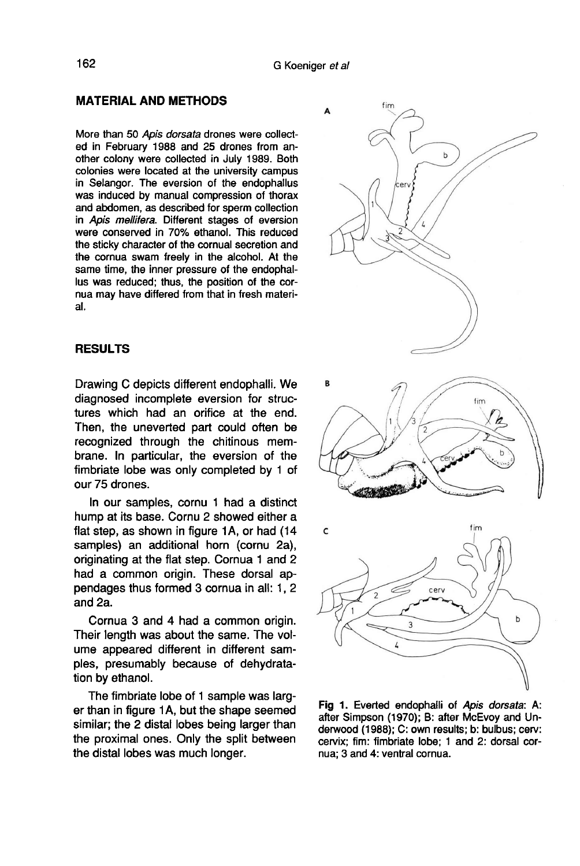### MATERIAL AND METHODS

More than 50 Apis dorsata drones were collected in February 1988 and 25 drones from another colony were collected in July 1989. Both colonies were located at the university campus in Selangor. The eversion of the endophallus was induced by manual compression of thorax and abdomen, as described for sperm collection in Apis mellifera. Different stages of eversion were conserved in 70% ethanol. This reduced the sticky character of the cornual secretion and the cornua swam freely in the alcohol. At the same time, the inner pressure of the endophallus was reduced; thus, the position of the cornua may have differed from that in fresh material.

#### RESULTS

Drawing C depicts different endophalli. We diagnosed incomplete eversion for structures which had an orifice at the end. Then, the uneverted part could often be recognized through the chitinous membrane. In particular, the eversion of the fimbriate lobe was only completed by 1 of our 75 drones.

In our samples, cornu 1 had a distinct hump at its base. Cornu 2 showed either a flat step, as shown in figure 1A, or had (14 samples) an additional horn (cornu 2a), originating at the flat step. Cornua 1 and 2 had a common origin. These dorsal appendages thus formed 3 cornua in all: 1, 2 and 2a.

Cornua 3 and 4 had a common origin. Their length was about the same. The volume appeared different in different samples, presumably because of dehydratation by ethanol.

The fimbriate lobe of 1 sample was larg er than in figure 1A, but the shape seemed similar; the 2 distal lobes being larger than the proximal ones. Only the split between the distal lobes was much longer.



Fig 1. Everted endophalli of Apis dorsata: A: after Simpson (1970); B: after McEvoy and Underwood (1988); C: own results; b: bulbus; cerv: cervix; fim: fimbriate lobe; 1 and 2: dorsal cornua; 3 and 4: ventral cornua.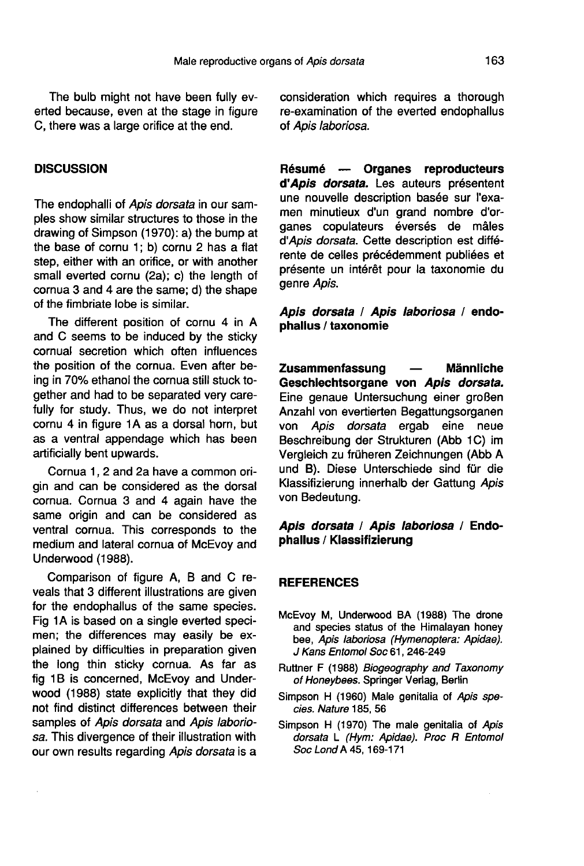The bulb might not have been fully everted because, even at the stage in figure C, there was a large orifice at the end.

#### **DISCUSSION**

The endophalli of Apis dorsata in our samples show similar structures to those in the drawing of Simpson (1970): a) the bump at the base of cornu 1; b) cornu 2 has a flat step, either with an orifice, or with another small everted cornu (2a); c) the length of cornua 3 and 4 are the same; d) the shape of the fimbriate lobe is similar.

The different position of cornu 4 in A and C seems to be induced by the sticky cornual secretion which often influences the position of the cornua. Even after being in 70% ethanol the cornua still stuck together and had to be separated very carefully for study. Thus, we do not interpret cornu 4 in figure 1A as a dorsal horn, but as a ventral appendage which has been artificially bent upwards.

Cornua 1, 2 and 2a have a common origin and can be considered as the dorsal cornua. Cornua 3 and 4 again have the same origin and can be considered as ventral cornua. This corresponds to the medium and lateral cornua of McEvoy and Underwood (1988).

Comparison of figure A, B and C reveals that 3 different illustrations are given for the endophallus of the same species. Fig 1A is based on a single everted specimen; the differences may easily be explained by difficulties in preparation given the long thin sticky cornua. As far as fig 1B is concerned, McEvov and Underwood (1988) state explicitly that they did not find distinct differences between their samples of Apis dorsata and Apis laboriosa. This divergence of their illustration with our own results regarding Apis dorsata is a consideration which requires a thorough re-examination of the everted endophallus of Apis laboriosa.

Résumé — Organes reproducteurs d'Apis dorsata. Les auteurs présentent une nouvelle description basée sur l'examen minutieux d'un grand nombre d'organes copulateurs éversés de mâles d'Apis dorsata. Cette description est différente de celles précédemment publiées et présente un intérêt pour la taxonomie du genre Apis.

# Apis dorsata / Apis laboriosa / endophallus / taxonomie

Zusammenfassung — Männliche Geschlechtsorgane von Apis dorsata. Eine genaue Untersuchung einer großen Anzahl von evertierten Begattungsorganen von Apis dorsata ergab eine neue Beschreibung der Strukturen (Abb 1C) im Vergleich zu früheren Zeichnungen (Abb A und B). Diese Unterschiede sind für die Klassifizierung innerhalb der Gattung Apis von Bedeutung.

# Apis dorsata / Apis laboriosa / Endophallus / Klassifizierung

#### **REFERENCES**

- McEvoy M, Underwood BA (1988) The drone and species status of the Himalayan honey bee, Apis laboriosa (Hymenoptera: Apidae). J Kans Entomol Soc 61, 246-249
- Ruttner F (1988) Biogeography and Taxonomy of Honeybees. Springer Verlag, Berlin
- Simpson H (1960) Male genitalia of Apis species. Nature 185, 56
- Simpson H (1970) The male genitalia of Apis dorsata L (Hym: Apidae). Proc R Entomol Soc Lond A 45, 169-171